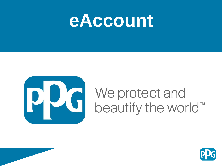



# We protect and<br>beautify the world™

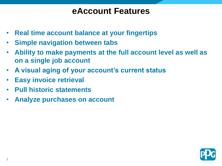#### **eAccount Features**

- **Real time account balance at your fingertips**
- **Simple navigation between tabs**
- **Ability to make payments at the full account level as well as on a single job account**
- **A visual aging of your account's current status**
- **Easy invoice retrieval**
- **Pull historic statements**
- **Analyze purchases on account**

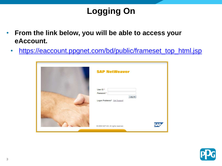# **Logging On**

- **From the link below, you will be able to access your eAccount.** 
	- [https://eaccount.ppgnet.com/bd/public/frameset\\_top\\_html.jsp](https://eaccount.ppgnet.com/bd/public/frameset_top_html.jsp)

| <b>SAP NetWeaver</b>                                            |
|-----------------------------------------------------------------|
| User ID*<br>Password *<br>Log on<br>Logon Problems? Get Support |
| NA 15<br>@ 2008 SAP AG. All rights reserved.                    |

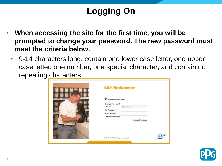# **Logging On**

- **When accessing the site for the first time, you will be prompted to change your password. The new password must meet the criteria below.** 
	- 9-14 characters long, contain one lower case letter, one upper case letter, one number, one special character, and contain no repeating characters.

| <b>SAP NetWeaver</b>                                                                                                                                |
|-----------------------------------------------------------------------------------------------------------------------------------------------------|
| Password has expired<br><b>Change Password</b><br>User ID<br>BDU_Trainer<br>Old Password *<br>New Password *<br>Confirm Password *<br>Change Cancel |
| <b>AVE</b><br>@ 2008 SAP AG. All rights reserved.                                                                                                   |

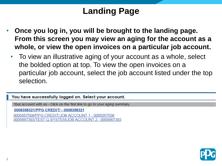# **Landing Page**

- **Once you log in, you will be brought to the landing page. From this screen you may view an aging for the account as a whole, or view the open invoices on a particular job account.** 
	- To view an illustrative aging of your account as a whole, select the bolded option at top. To view the open invoices on a particular job account, select the job account listed under the top selection.

You have successfully logged on. Select your account.

Your account with us - Click on the first link to go to your aging summary.

0008358321/PPG CREDIT/ - 0008358321

0005057508/PPG CREDIT/JOB ACCOUNT 1 - 0005057508 0005667393/TEST Q SYSTEM/JOB ACCOUNT 2 - 0005667393

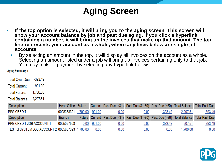# **Aging Screen**

- **If the top option is selected, it will bring you to the aging screen. This screen will show your account balance by job and past due aging. If you click a hyperlink**  containing a number, it will bring up the invoices that make up that amount. The top **line represents your account as a whole, where any lines below are single job accounts.**
	- By selecting an amount in the top, it will display all invoices on the account as a whole. Selecting an amount listed under a job will bring up invoices pertaining only to that job. You may make a payment by selecting any hyperlink below.

**Aging Summary:** 

Total Over Due: -393.49

Total Current: 901.00

**Total Future:** 1.700.00

Total Balance: 2,207.51

| <b>Description</b>                              | Head Office Future         |             |      | Current Past Due (<31) Past Due (31-60) Past Due (>60) Total Balance Total Past Due        |           |          |                |
|-------------------------------------------------|----------------------------|-------------|------|--------------------------------------------------------------------------------------------|-----------|----------|----------------|
| <b>PPG CREDIT</b>                               | 0008358321 1,700.00 901.00 |             | 0.00 | 0.00                                                                                       | $-393.49$ | 2,207.51 | -393.49        |
| <b>Description</b>                              | <b>Branch</b>              |             |      | Future Current Past Due (<31) Past Due (31-60) Past Due (>60) Total Balance Total Past Due |           |          |                |
| PPG CREDIT JOB ACCOUNT 1                        | 0005057508                 | 0.00 901.00 | 0.00 | 0.00                                                                                       | $-393.49$ | 507.51   | <u>-393.49</u> |
| TEST Q SYSTEM JOB ACCOUNT 2 0005667393 1,700.00 |                            | 0.00        | 0.00 | 0.00                                                                                       | 0.00      | .700.00  | 0.00           |

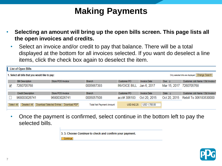# **Making Payments**

- **Selecting an amount will bring up the open bills screen. This page lists all the open invoices and credits.** 
	- Select an invoice and/or credit to pay that balance. There will be a total displayed at the bottom for all invoices selected. If you want do deselect a line items, click the check box again to deselect the item.

|            | <b>List of Open Bills</b>                       |                                          |                                 |                     |                     |               |                                                 |
|------------|-------------------------------------------------|------------------------------------------|---------------------------------|---------------------|---------------------|---------------|-------------------------------------------------|
|            | 1. Select all bills that you would like to pay: |                                          |                                 |                     |                     |               | Only selected bills are displayed Change Search |
|            | <b>Bill Description</b>                         | Store POS Invoice                        | <b>Branch</b>                   | Customer PO         | <b>Invoice Date</b> | Due $\hat{=}$ | Customer Job Name / Old Invoice I               |
| ✔          | 7260705768                                      |                                          | 0005667393                      | <b>INVOICE BILL</b> | Jan 6, 2017         | Mar 15, 2017  | 7260705768                                      |
|            | <b>Credit Description</b>                       | Store POS Invoice                        | <b>Branch</b>                   | Customer PO         | <b>Invoice Date</b> | Date $\div$   | Customer Job Name / Old Invoice I               |
|            | 968003026741                                    | 968003026741                             | 0005057508                      | acct# 306183        | Oct 20, 2015        | Oct 20, 2015  | Rebill To 306183530000                          |
| Select All | Deselect All                                    | Download Selected Entries   Download PDF | <b>Total Net Payment Amount</b> | <b>USD 642.25</b>   | USD 1,700.00        |               |                                                 |

• Once the payment is confirmed, select continue in the bottom left to pay the selected bills.

3. 3. Choose Continue to check and confirm your payment.

Continue

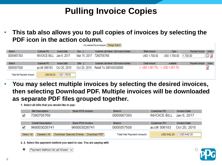# **Pulling Invoice Copies**

• **This tab also allows you to pull copies of invoices by selecting the PDF icon in the action column.** 

Only selected bills are displayed Change Search

| Branch                          | Customer PO    | <b>Invoice Date</b> | Due $\Leftrightarrow$ | Customer Job Name / Old Invoice Number | <b>Billed Amount</b> | Open                                  | Action<br>Payment Amount |
|---------------------------------|----------------|---------------------|-----------------------|----------------------------------------|----------------------|---------------------------------------|--------------------------|
| 0005667393                      | INVOICE BILL . | Jan 6, 2017         | Mar 15, 2017          | 7260705768                             | USD 1,700.00         | USD 1,700.00                          | [≴ ⊜<br>1,700.00         |
|                                 |                |                     |                       |                                        |                      |                                       |                          |
| <b>Branch</b>                   | Customer PO    | Invoice Date        | Date $\oplus$         | Customer Job Name / Old Invoice Number | Credit Amount        | Available                             | Payment Amount<br>Action |
| 0005057508                      | acct# 306183   | Oct 20, 2015        | Oct 20, 2015          | Rebill To 306183530000                 |                      | $(-$ USD 1,057.75) $(-$ USD 1,057.75) | 湊                        |
| <b>Total Net Payment Amount</b> | USD 642.25     | USD 1,700.00        |                       |                                        |                      |                                       |                          |

• **You may select multiple invoices by selecting the desired invoices, then selecting Download PDF. Multiple invoices will be downloaded as separate PDF files grouped together.** 

1. Select all bills that you would like to pay:

|            | <b>Bill Description</b>   | Store POS Invoice                        | <b>Branch</b>                   | Customer PO              | <b>Invoice Date</b> |
|------------|---------------------------|------------------------------------------|---------------------------------|--------------------------|---------------------|
| ✓          | 7260705768                |                                          | 0005667393                      | INVOICE BILL Jan 6, 2017 |                     |
|            |                           |                                          |                                 |                          |                     |
|            | <b>Credit Description</b> | Store POS Invoice                        | <b>Branch</b>                   | Customer PO              | <b>Invoice Date</b> |
| ✓          | 968003026741              | 968003026741                             | 0005057508                      | acct# 306183             | Oct 20, 2015        |
| Select All | Deselect All              | Download Selected Entries   Download PDF | <b>Total Net Payment Amount</b> | <b>USD 642.25</b>        | <b>USD 642.25</b>   |

2. 2. Select the payment method you want to use. You are paying with

 $\odot$ Payment Method not yet Known  $\vee$ 

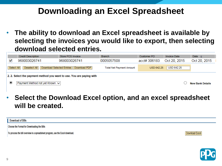#### **Downloading an Excel Spreadsheet**

• **The ability to download an Excel spreadsheet is available by selecting the invoices you would like to export, then selecting download selected entries.** 



• **Select the Download Excel option, and an excel spreadsheet will be created.** 

Download of Bills

Choose the Format for Downloading the Bills

To process the bill overview in a spreadsheet program, use the Excel download.



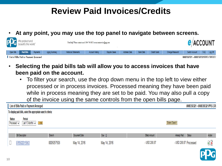## **Review Paid Invoices/Credits**

• **At any point, you may use the top panel to navigate between screens.**



- **Selecting the paid bills tab will allow you to access invoices that have been paid on the account.** 
	- To filter your search, use the drop down menu in the top left to view either processed or in process invoices. Processed meaning they have been paid while in process meaning they are set to be paid. You may also pull a copy of the invoice using the same controls from the open bills page.



10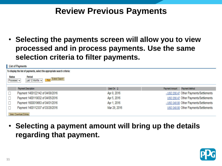#### **Review Previous Payments**

• **Selecting the payments screen will allow you to view processed and in process payments. Use the same selection criteria to filter payments.** 

|                       | <b>List of Payments</b>                                                  |                      |                                         |
|-----------------------|--------------------------------------------------------------------------|----------------------|-----------------------------------------|
|                       | To display the list of payments, select the appropriate search criteria: |                      |                                         |
| Status<br>Processed V | Period<br>Extend Search<br>Last 12 Months $\vee$<br>Find                 |                      |                                         |
|                       | Payment Description                                                      | Used On $\hat{\div}$ | Payment Method<br>Payment Amount        |
|                       | Payment 1400122142 of 04/08/2016                                         | Apr 8, 2016          | - USD 290.47 Other Payments/Settlements |
|                       | Payment 1400119032 of 04/05/2016                                         | Apr 5, 2016          | USD 290.47 Other Payments/Settlements   |
|                       | Payment 1600019663 of 04/01/2016                                         | Apr 1, 2016          | - USD 240.00 Other Payments/Settlements |
|                       | Payment 1400112337 of 03/28/2016                                         | Mar 28, 2016         | USD 240.00 Other Payments/Settlements   |
|                       | Select Download Entries                                                  |                      |                                         |

• **Selecting a payment amount will bring up the details regarding that payment.** 

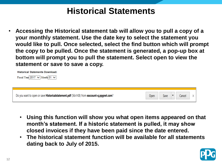#### **Historical Statements**

• **Accessing the Historical statement tab will allow you to pull a copy of a your monthly statement. Use the date key to select the statement you would like to pull. Once selected, select the find button which will prompt the copy to be pulled. Once the statement is generated, a pop-up box at bottom will prompt you to pull the statement. Select open to view the statement or save to save a copy.** 

**Historical Statements Download:** Fiscal Year 2017  $\vee$  Month 01  $\vee$ 

| Do you want to open or save <b>Historicalstatement.pdf</b> (56.4 KB) from <b>eaccount-q.ppgnet.com</b> ? | Open | Save | Cancel | x |
|----------------------------------------------------------------------------------------------------------|------|------|--------|---|

- **Using this function will show you what open items appeared on that month's statement. If a historic statement is pulled, it may show closed invoices if they have been paid since the date entered.**
- **The historical statement function will be available for all statements dating back to July of 2015.**

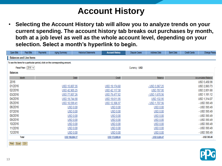## **Account History**

• **Selecting the Account History tab will allow you to analyze trends on your current spending. The account history tab breaks out purchases by month, both at a job level as well as the whole account level, depending on your selection. Select a month's hyperlink to begin.** 

| Open Bills      | Paid Bills                                                                   | Payments | Aging Summary  | <b>Historical Statements</b> | <b>Account History</b> | <b>Dispute Cases</b> | Address Data          | <b>Bank Data</b> | <b>Credit Cards</b> | <b>Change Passy</b>        |
|-----------------|------------------------------------------------------------------------------|----------|----------------|------------------------------|------------------------|----------------------|-----------------------|------------------|---------------------|----------------------------|
|                 | <b>Balances and Line Items</b>                                               |          |                |                              |                        |                      |                       |                  |                     |                            |
|                 | To see the items for a particular period, click on the corresponding amount. |          |                |                              |                        |                      |                       |                  |                     |                            |
|                 | Fiscal Year: $2016 \vee$                                                     |          |                |                              |                        | Currency: USD        |                       |                  |                     |                            |
| <b>Balances</b> |                                                                              |          |                |                              |                        |                      |                       |                  |                     |                            |
|                 | Month                                                                        |          |                | Debit                        | Credit                 |                      | Balance               |                  |                     | <b>Accumulated Balance</b> |
| 2016            |                                                                              |          |                |                              |                        |                      |                       |                  |                     | USD 5,430.98               |
| 01/2016         |                                                                              |          | USD 15,807.35  |                              |                        |                      |                       |                  |                     | USD 2,063.73               |
| 02/2016         |                                                                              |          |                |                              | USD 19,174.60          |                      | $-$ USD 3,367.25      |                  |                     |                            |
| 03/2016         |                                                                              |          | USD 42,905.25  |                              | USD 42,117.30          |                      | USD 787.95            |                  |                     | USD 2,851.68               |
|                 |                                                                              |          | USD 77,807.26  |                              | USD 79,477.82          |                      | $-$ USD 1,670.56      |                  |                     | USD 1,181.12               |
| 04/2016         |                                                                              |          | USD 19,744.90  |                              | USD 19,611.95          |                      | USD 132.95            |                  |                     | USD 1,314.07               |
| 05/2016         |                                                                              |          | USD 10,599.41  |                              | USD 12,306.97          |                      | $-$ USD 1,707.56      |                  |                     | - USD 393.49               |
| 06/2016         |                                                                              |          |                | <b>USD 0.00</b>              | USD 0.00               |                      | <b>USD 0.00</b>       |                  |                     | - USD 393.49               |
| 07/2016         |                                                                              |          |                | <b>USD 0.00</b>              | USD 0.00               |                      | <b>USD 0.00</b>       |                  |                     | - USD 393.49               |
| 08/2016         |                                                                              |          |                | <b>USD 0.00</b>              | USD 0.00               |                      | <b>USD 0.00</b>       |                  |                     | - USD 393.49               |
| 09/2016         |                                                                              |          |                | USD 0.00                     | USD 0.00               |                      | <b>USD 0.00</b>       |                  |                     | - USD 393.49               |
| 10/2016         |                                                                              |          |                | <b>USD 0.00</b>              | USD 0.00               |                      | <b>USD 0.00</b>       |                  |                     | - USD 393.49               |
| 11/2016         |                                                                              |          |                | USD 0.00                     | USD 0.00               |                      | USD 0.00              |                  |                     | - USD 393.49               |
| 12/2016         |                                                                              |          |                | <b>USD 0.00</b>              | <b>USD 0.00</b>        |                      | <b>USD 0.00</b>       |                  |                     | - USD 393.49               |
|                 | <b>Total</b>                                                                 |          | USD 166,864.17 |                              | USD 172,688.64         |                      | <u>- USD 5,824.47</u> |                  |                     | - USD 393.49               |
|                 |                                                                              |          |                |                              |                        |                      |                       |                  |                     |                            |



Print | Excel | CSV |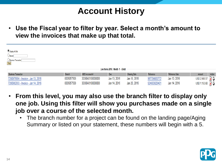## **Account History**

• **Use the Fiscal year to filter by year. Select a month's amount to view the invoices that make up that total.** 

| O Display All Bills<br>$\bigcirc$ Branch $\sqcap$<br>O Business Transaction<br>Find |            |                  |                                  |               |              |                |              |        |
|-------------------------------------------------------------------------------------|------------|------------------|----------------------------------|---------------|--------------|----------------|--------------|--------|
|                                                                                     |            |                  | Line Items 2016: Month 1 - Debit |               |              |                |              |        |
| <b>Business Transaction</b>                                                         | Branch     | MDS Accoount #   | <b>Due</b>                       | Clearing Date | Reference    | Reference Date | Amount       | Action |
| 7280976904 - Invoice - Jan 13, 2016                                                 | 0005057508 | 3039043100000000 | Jan 13, 2016                     | Jan 18, 2016  | 967704083772 | Jan 13, 2016   | USD 2,988.57 |        |
| 7280982933 - Invoice - Jan 14, 2016                                                 | 0005057508 | 3039043100000000 | Jan 14, 2016                     | Jan 20, 2016  | 924803029401 | Jan 14, 2016   | USD 1,155.60 |        |

- **From this level, you may also use the branch filter to display only one job. Using this filter will show you purchases made on a single job over a course of the selected month.** 
	- The branch number for a project can be found on the landing page/Aging Summary or listed on your statement, these numbers will begin with a 5.

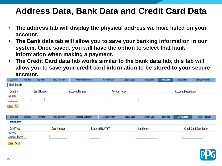#### **Address Data, Bank Data and Credit Card Data**

- **The address tab will display the physical address we have listed on your account.**
- **The Bank data tab will allow you to save your banking information in our system. Once saved, you will have the option to select that bank information when making a payment.**
- **The Credit Card data tab works similar to the bank data tab, this tab will allow you to save your credit card information to be stored to your secure account.**

| Open Bills                      | Paid Bills                                  | Payments | Aging Summary      | <b>Historical Statements</b> | <b>Account History</b> | <b>Dispute Cases</b>  | Address Data | <b>Bank Data</b> | <b>Credit Cards</b>        | Change Password                |  |
|---------------------------------|---------------------------------------------|----------|--------------------|------------------------------|------------------------|-----------------------|--------------|------------------|----------------------------|--------------------------------|--|
| <b>Bank Details</b>             |                                             |          |                    |                              |                        |                       |              |                  |                            |                                |  |
| Country                         | <b>Bank Number</b><br><b>Account Number</b> |          |                    |                              |                        | <b>Account Holder</b> |              |                  | <b>Account Description</b> |                                |  |
| New entry<br>v                  |                                             |          |                    |                              |                        |                       |              |                  |                            |                                |  |
| Save Back                       |                                             |          |                    |                              |                        |                       |              |                  |                            |                                |  |
| Open Bills                      | Paid Bills                                  | Payments | Aging Summary      | <b>Historical Statements</b> | Account History        | <b>Dispute Cases</b>  | Address Data | <b>Bank Data</b> | <b>Credit Cards</b>        | Change Password                |  |
| <b>Credit Cards</b>             |                                             |          |                    |                              |                        |                       |              |                  |                            |                                |  |
| <b>Card Type</b>                |                                             |          | <b>Card Number</b> |                              | Expires (MM/YYYY)      |                       | Cardholder   |                  |                            | <b>Credit Card Description</b> |  |
| New entry<br>American Express v |                                             |          |                    |                              |                        |                       |              |                  |                            |                                |  |
| Save Back                       |                                             |          |                    |                              |                        |                       |              |                  |                            |                                |  |

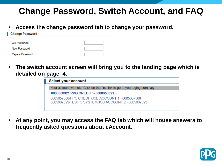## **Change Password, Switch Account, and FAQ**

• **Access the change password tab to change your password.**

| <b>Change Password</b> |  |
|------------------------|--|
|                        |  |
| Old Password           |  |
| New Password           |  |
| Repeat Password        |  |

• **The switch account screen will bring you to the landing page which is detailed on page 4.**

| Select your account.                                                        |  |
|-----------------------------------------------------------------------------|--|
| Your account with us - Click on the first link to go to your aging summary. |  |
| 0008358321/PPG CREDIT/ - 0008358321                                         |  |
| 0005057508/PPG CREDIT/JOB ACCOUNT 1 - 0005057508                            |  |
| 0005667393/TEST Q SYSTEM/JOB ACCOUNT 2 - 0005667393                         |  |
|                                                                             |  |

• **At any point, you may access the FAQ tab which will house answers to frequently asked questions about eAccount.** 

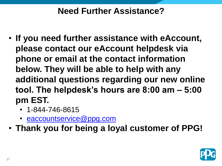#### **Need Further Assistance?**

- **If you need further assistance with eAccount, please contact our eAccount helpdesk via phone or email at the contact information below. They will be able to help with any additional questions regarding our new online tool. The helpdesk's hours are 8:00 am – 5:00 pm EST.** 
	- 1-844-746-8615
	- [eaccountservice@ppg.com](mailto:eaccountservice@ppg.com)
- **Thank you for being a loyal customer of PPG!**